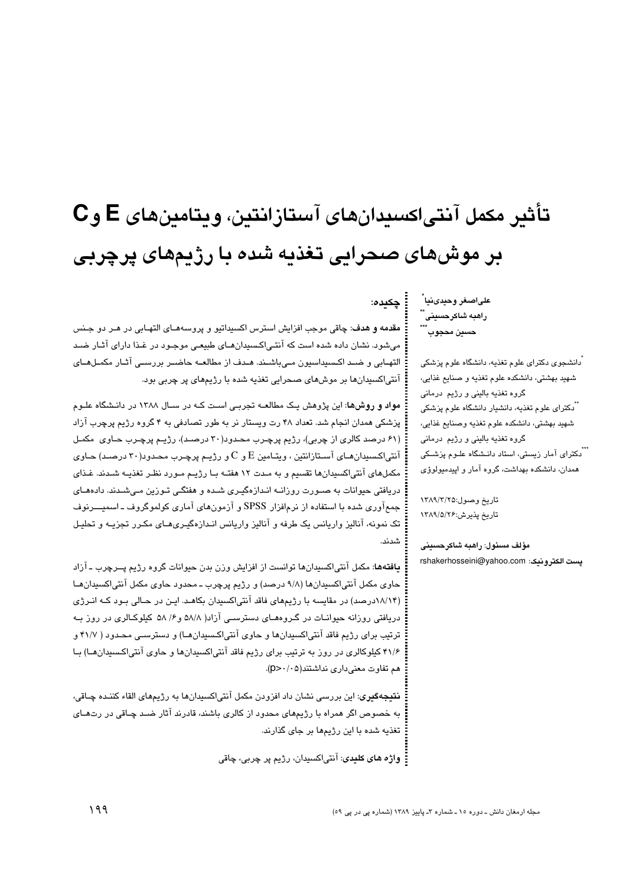# تأثير مكمل آنتىاكسيدانهاى آستازانتين، ويتامينهاى E و C بر موش@ای صحرایی تغذیه شده با رژیمهای پرچربی

علىاصغر وحيدىنيا ً راهبه شاكرحسينى ٌ حسين محجوب ``

<u>:</u> چکیده:

.<br>دانشجوی دکترای علوم تغذیه، دانشگاه علوم پزشکی شهید بهشتی، دانشکده علوم تغذیه و صنایع غذایی، گروه تغذیه بالینی و رژیم درمانی .<br>"دکترای علوم تغذیه، دانشیار دانشگاه علوم پزشکی شهيد بهشتي، دانشكده علوم تغذيه وصنايع غذايي، گروه تغذیه بالینی و رژیم درمانی ...<br>\*\*نکترای آمار زیستی، استاد دانـشگاه علـوم پزشـکی همدان، دانشکده بهداشت، گروه آمار و اپیدمیولوؤی

تاريخ وصول:١٣٨٩/٢/٢٥ تاريخ پذيرش:۲۶/۵/۲۶

مؤلف مسئول: راهبه شاكرحسننى يست الكترونيك: rshakerhosseini@yahoo.com

**مقدمه و هدف: چاق**ی موجب افزایش استرس اکسیداتیو و پروسههـای التهـابی در هـر دو جـنس میشود. نشان داده شده است که آنتـیاکـسیدانهـای طبیعـی موجـود در غـذا دارای آثـار ضـد التهـابي و ضـد اکـسیداسیون مـیباشـند. هـدف از مطالعـه حاضـر بررسـی آثـار مکمـلهـای آنتیاکسیدانها بر موشهای صحرایی تغذیه شده با رژیمهای پر چربی بود.

م**واد و روشها**: این پژوهش یک مطالعـه تجربـی اسـت کـه در سـال ۱۳۸۸ در دانـشگاه علـوم یزشکی همدان انجام شد. تعداد ۴۸ رت ویستار نر به طور تصادفی به ۴ گروه رژیم پرچرب آزاد (۶۱ درصد کالری از چربی)، رژیم پرچـرب محـدود(۳۰ درصـد)، رژیـم پرچـرب حـاوی ِ مکمـل آنتی/کسبدانهـای آسـتازانتین ، ویتـامین E و C و رژیـم پرچـرب محـدود(۳۰ درصـد) حـاوی مکملهای آنتی/کسیدانها تقسیم و به مـدت ۱۲ هفتـه بـا رژیـم مـورد نظـر تغذیـه شـدند. غـذای دریافتی حیوانات به صـورت روزانــه انـدازهگیـری شــده و هفتگــی تـوزین مــیشــدند. دادهمــای جمعآوری شده با استفاده از نرمافزار SPSS و آزمونهای آماری کولموگروف ـ اسمیــــرنوف تک نمونه، آنالیز واریانس یک طرفه و آنالیز واریانس انـدازهگیـریهـای مکـرر تجزیـه و تحلیـل

**یافتهها**: مکمل آنتی|کسیدانها توانست از افزایش وزن بدن حیوانات گروه رژیم پــرچرب ـ آزاد حاوی مکمل آنتی|کسیدانها (۹/۸ درصد) و رژیم پرچرب ـ محدود حاوی مکمل آنتی|کسیدانهـا (۱۸/۱۴درصد) در مقایسه با رژیمهای فاقد آنتی/کسیدان بکاهـد. ایـن در حـالی بـود کـه انـرژی دریافتی روزانه حیوانیات در گیروههای دسترسبی آزاد( ۵۸/۸ و ۵۶/ ۵۸ کیلوکیالری در روز بیه ترتیب برای رژیم فاقد آنتی|کسیدانها و حاوی آنتی|کسیدانهـا) و دسترسـی محـدود ( ۴۱/۷ و ۴۱/۶ کیلوکالری در روز به ترتیب برای رژیم فاقد آنتی اکسیدانها و حاوی آنتی اکسیدانها) بـا هم تفاوت معنى دارى نداشتند(٥ / / · P>).

**نتیجهگیری**: این بررسی نشان داد افزودن مکمل آنتی|کسیدانها به رژیمهای القاء کننـده چـاقی، به خصوص اگر همراه با رژیمهای محدود از کالری باشند، قادرند آثار ضـد چـاقی در رتهـای تغذیه شده با این رژیمها بر جای گذارند.

**:** وا**ژه های کلیدی**: آنتیاکسیدان، رژیم پر چربی، چاقی

مجله ارمغان دانش ـ دوره ١٥ ـ شماره ٣ـ پاییز ١٣٨٩ (شماره یی در یی ٥٩)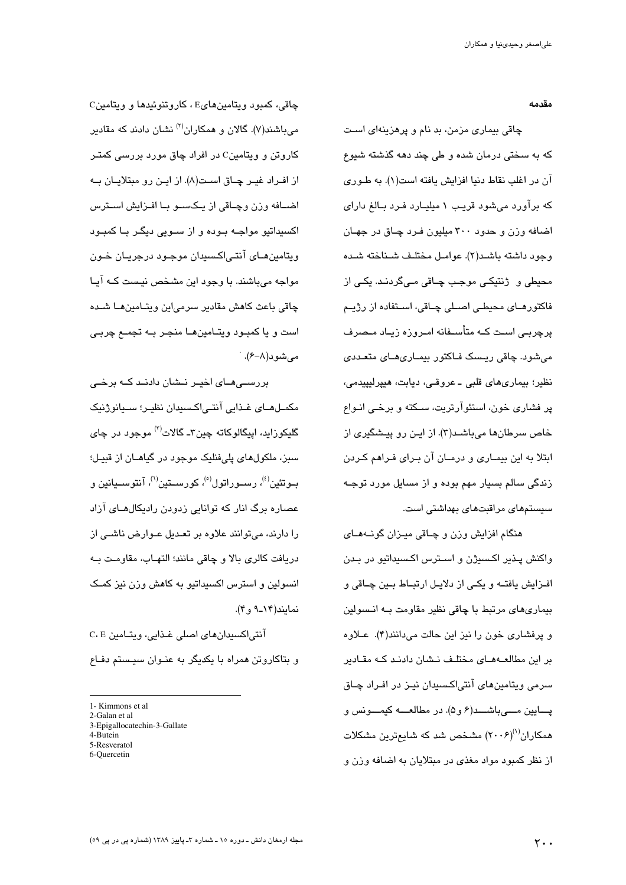مقدمه

چاقی بیماری مزمن، بد نام و پرهزینهای است که به سختی درمان شده و طی چند دهه گذشته شیوع آن در اغلب نقاط دنیا افزایش یافته است(۱). به طوری که برآورد میشود قریب ۱ میلیارد فرد بالغ دارای اضافه وزن و حدود ۳۰۰ میلیون فـرد چـاق در جهـان وجود داشته باشد(٢). عوامل مختلف شناخته شده محيطي و ژنتيکي موجب چـاقي مـيگردنـد. يکـي از فاکٽورهـای محیطـی اصـلی چـاقی، اسـتفاده از رژیـم یرچربے است کـه متأســفانه امــروزه زیــاد مــصرف میشود. چاقی ریسک فـاکتور بیمـاریهـای متعـددی نظیر؛ بیماریهای قلبی ــ عروقـی، دیابت، هیپرلیپیدمی، پر فشاری خون، استئوآرتریت، سکته و برخی انواع خاص سرطانها میباشد(۳). از ایـن رو پیـشگیری از ابتلا به این بیمــاری و درمــان آن بــرای فــراهم کــردن زندگی سالم بسیار مهم بوده و از مسایل مورد توجـه سیستمهای مراقبتهای بهداشتی است.

هنگام افزایش وزن و چـاقی میـزان گونــهمـای واکنش پـذیر اکـسیژن و اسـترس اکـسیداتیو در بـدن افــزايش يافتــه و يكــى از دلايــل ارتبــاط بــين چــاقى و بیماریهای مرتبط با چاقی نظیر مقاومت بــه انــسولین و پرفشاری خون را نیز این حالت میدانند(۴). عــلاوه بر این مطالعـــهــای مختلــف نــشان دادنــد کــه مقــادیر سرمی ویتامینهای آنتیاکسیدان نیـز در افـراد چـاق يسابين مسے باشيد(۶ و ۵). در مطالعيه كيميونس و همکاران<sup>(۱)</sup>(۲۰۰۶) مشخص شد که شایعترین مشکلات از نظر کمبود مواد مغذی در مبتلایان به اضافه وزن و

چاقی، کمبود ویتامین هایE ، کاروتنوئیدها و ویتامینC میباشند(۷). گالان و همکاران<sup>(۲)</sup> نشان دادند که مقادیر کاروتن و ویتامینC در افراد چاق مورد بررسی کمتـر از افيراد غيير چياق است(٨). از اين رو ميتلاييان په اضـافه وزن وچـاقی از یـکسـو بـا افـزایش اسـترس اکسیداتیو مواجـه بـوده و از سـویی دیگـر بـا کمبـود ويتامين هـاى آنتـىاكـسيدان موجـود درجريـان خـون مواجه میباشند. با وجود این مشخص نیست کـه آیـا چاقی باعث کاهش مقادیر سرمیاین ویتـامینهـا شـده است و يا کمبـود ويتـامينهـا منجـر بـه تجمـع چربـي میشود(۸–۶). `

بررســی هــای اخیــر نــشان دادنــد کــه برخــی مکمـلهـای غـذایی آنتـی|کـسیدان نظیـر؛ سـیانوژنیک گلیکوزاید، اییگالوکاته چین۳ـ گالات<sup>(۳)</sup> موجود در چای سبز، ملکولهای پلیفنلیک موجود در گیاهــان از قبیـل؛ بــوتئين<sup>(٤)</sup>، رســوراتول<sup>(٥)</sup>، کورســتين<sup>(٦)</sup>، آنتوســيانين و عصاره برگ انار که توانایی زدودن رادیکالهـای آزاد را دارند، میتوانند علاوه بر تعـدیل عـوارض ناشـی از دريافت كالري بالا و چاقى مانند؛ التهـاب، مقاومـت بـه انسولین و استرس اکسیداتیو به کاهش وزن نیز کمک نمایند(۱۴ -۹ و ۴).

آنتی|کسیدانهای اصلی غـذایی، ویتـامین C، E و بتاکاروتن همراه با یکدیگر به عنـوان سیـستم دفـاع

4-Butein

<sup>1-</sup> Kimmons et al

<sup>2-</sup>Galan et al 3-Epigallocatechin-3-Gallate

<sup>5-</sup>Resveratol

<sup>6-</sup>Ouercetin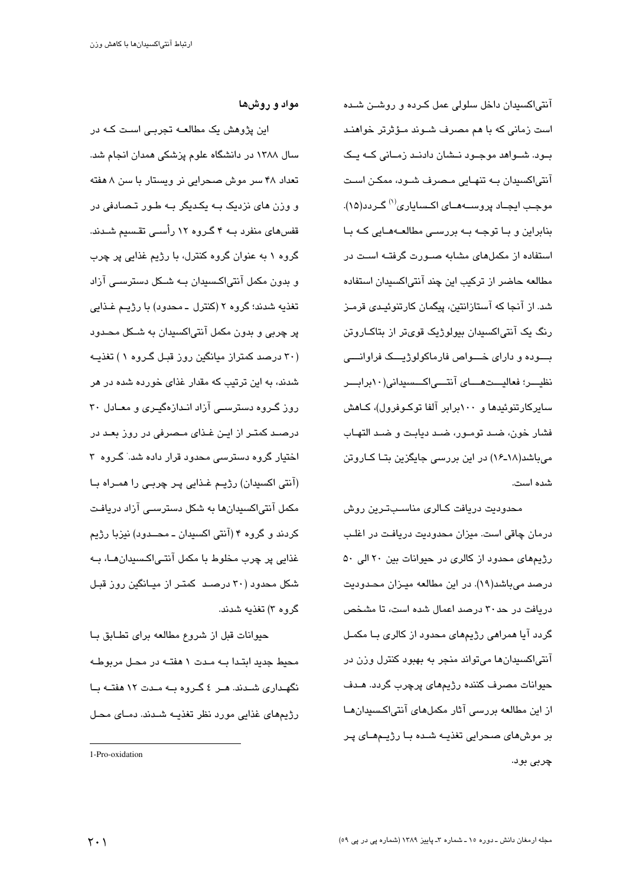آنتیاکسیدان داخل سلولی عمل کـرده و روشـن شـده است زمانی که با هم مصرف شـوند مـؤثرتر خواهنـد بــود. شــواهد موجــود نــشان دادنــد زمــانی کــه یــک آنتی(کسیدان یــه تنهـایی مـصرف شـورد، ممکـن اسـت موجـب ايجـاد پروســههــای اکـسـایاری<sup>(۱)</sup> گــردد(۱۵). بنابراین و بـا توجـه بـه بررسـی مطالعـهمـایی کـه بـا استفاده از مکملهای مشابه صبورت گرفتیه است در مطالعه حاضر از ترکیب این چند آنتیاکسیدان استفاده شد. از آنجا که آستازانتین، پیگمان کارتنوئیدی قرمـز رنگ یک آنتیاکسیدان بیولوژیک قویتر از بتاکـاروتن بسوده و دارای خسواص فارماکولوژیسک فراوانسی نظيـــر؛ فعاليـــتھــــاي آنتـــي|كـــسيداني(١٠برابـــر سایرکارتنوئیدها و ۱۰۰برابر آلفا توکـوفرول)، کـاهش فشار خون، ضـد تومـور، ضـد ديابـت و ضـد التهـاب میباشد(۱۸ـ۱۶) در این بررسی جایگزین بتـا کــاروتن شده است.

محدودیت دریافت کــالری مناســبـتــرین روش درمان چاقی است. میزان محدودیت دریافت در اغلب رژیمهای محدود از کالری در حیوانات بین ۲۰ الی ۵۰ درصد میباشد(۱۹). در این مطالعه میـزان محـدودیت دریافت در حد۳۰ درصد اعمال شده است، تا مشخص گردد آیا همراهی رژیمهای محدود از کالری بـا مکمـل آنتیاکسیدانها میتواند منجر به بهبود کنترل وزن در حيوانات مصرف كننده رژيمهای پرچرب گردد. هـدف از این مطالعه بررسی آثار مکملهای آنتیاکسیدانهـا بر موش،های صحرایی تغذیـه شـده بـا رژیـمهـای پـر چربی بود.

مواد و روشها

این پژوهش یک مطالعــه تجربـی اسـت کــه در سال ۱۳۸۸ در دانشگاه علوم پزشکی همدان انجام شد. تعداد ۴۸ سر موش صحرانی تر ویستار با سن ۸ هفته و وزن های نزدیک بـه یکـدیگر بـه طـور تـصادفی در قفسهای منفرد سه ۴ گـروه ۱۲ رأسـے تقـسیم شـدند. گروه ۱ به عنوان گروه کنترل، با رژیم غذایی پر چرب و بدون مکمل آنتی|کسیدان بـه شـکل دسترسـی آزاد تغذیه شدند؛ گروه ۲ (کنترل ـ محدود) با رژیـم غـذایی ير چربي و بدون مکمل آنتي|کسيدان به شــکل محـدود (۳۰ درصد کمتراز میانگین روز قبـل گـروه ۱) تغذیــه شدند، به این ترتیب که مقدار غذای خورده شده در هر روز گروه دسترسـی آزاد انـدازهگیـری و معـادل ۳۰ درصـد کمتـر از ايـن غـذای مـصرفی در روز بعـد در اختیار گروه دسترسی محدود قرار داده شد. گـروه ۳ (آنتی اکسیدان) رژیـم غـذایی پـر چربـی را همـراه بـا مکمل آنتیاکسیدانها به شکل دسترسـی آزاد دریافت کردند و گروه ۴ (آنتی اکسیدان ــ محـــدود) نیزبا رژیم غذايي پر چرب مخلوط با مکمل آنتے اکسیدان هـا، بـه شکل محدود (۳۰ درصـد کمتـر از میـانگین روز قبـل گروه ۳) تغذیه شدند.

حیوانات قبل از شروع مطالعه برای تطـابق بـا محيط جديد ابتـدا بــه مـدت ١ هفتــه در محـل مربوطـه نگهداری شدند. هـر ٤ گـروه بـه مـدت ١٢ هفتـه بـا رژیمهای غذایی مورد نظر تغذیــه شــدند. دمــای محـل

<sup>1-</sup>Pro-oxidation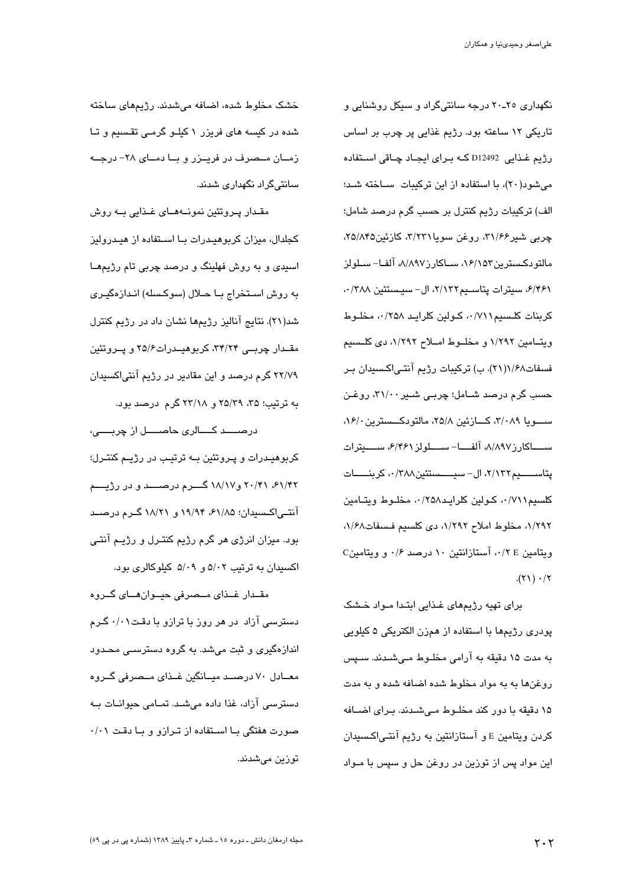نگهداری ۲۰ـ۲۰ درجه سانتیگراد و سبکل روشنایی و تاریکی ۱۲ ساعته بود. رژیم غذایی پر چرب بر اساس رژیم غذایی D12492 که برای ایجاد چاقی استفاده می شود(۲۰)، با استفاده از این ترکیبات سـاخته شـد؛ الف) ترکیبات رژیم کنترل بر حسب گرم درصد شامل؛ چربی شیر۳۱/۶۶، روغن سوپا۳/۲۲۱، کازئین۲۵/۸۴۵، مالتودكسترين١۶/١۵٣، سـاكارز٨/٨٩٧، آلفــا– سـلولز ۴/۴۶۱، سیترات پتاسیم۲/۱۳۲، ال-سیستئین ۰/۳۸۸، كربنات كلسيم٧١١/٠، كـولين كلرايـد ٢٥٨/٠، مخلـوط ویتامین ۱/۲۹۲ و مخلــوط امــلاح ۱/۲۹۲، دی کلــسیم فسفات١/٤٨(٢١). ب) تركيبات رژيم آنتـىاكـسيدان بـر حسب گرم درصد شـامل؛ چربـی شـیر ۳۱/۰۰، روغـن ســـويا ٣/٠٨٩، كـــازئين ٢٥/٨، مالتودكـــسترين١۶/٠، ســــاكارز٨/٨٩٧، آلفــــا- ســــلولز ۶/۴۶۱، ســــيترات يتاســــيم ٢/١٣٢، ال- سيــــستئين ٢٨٨، كربنــــات كلسيم١٧١١، كـولين كلرايـد١٢٥٨، مخلـوط ويتـامين ٠١/٢٩٢، مخلوط املاح ١/٢٩٢، دى كلسيم فسفات١/٤٨، ویتامین ٢٤/٠، آستازانتین ١٠ درصد ٠/۶ و ویتامینC  $.(\Upsilon \setminus ) \cdot / \Upsilon$ 

برای تهیه رژیمهای غـذایی ابتـدا مـواد خـشک پودری رژیمها با استفاده از همزن الکتریکی ۵ کیلویی به مدت ۱۵ دقیقه به آرامی مخلـوط مـیشـدند. سـپس روغنها به به مواد مخلوط شده اضافه شده و به مدت ۱۵ دقیقه با دور کند مخلـوط مـیشـدند. بـرای اضــافه كردن ويتامين E و آستازانتين به رژيم آنتـي|كـسيدان این مواد پس از توزین در روغن حل و سپس با مـواد

خشک مخلوط شده، اضافه میشدند. رژیمهای ساخته شده در کسه های فریزر ۱ کیلـو گرمـی تقـسیم و تـا زمیان میصرف در فریبزر و بیا دمیای ۲۸- درجیه سانتیگراد نگهداری شدند.

مقدار پروتئین نمونــهمــای غــذایی بــه روش کجلدال، میزان کربوهیـدرات بـا اسـتفاده از هیـدرولیز اسیدی و به روش فهلینگ و درصد چربی تام رژیمهـا به روش استخراج بــا حــلال (سوكسله) انـدازهگيـري شد(۲۱). نتایج آنالیز رژیمها نشان داد در رژیم کنترل مقــدار چربــی ۳۴/۲۴، کربوهیــدرات۲۵/۶ و پــروتئین ۲۲/۷۹ گرم درصد و این مقادیر در رژیم آنتی|کسیدان به ترتیب؛ ۲۵، ۲۵/۲۹ و ۲۳/۱۸ گرم درصد بود.

درصــــد کــــالری حاصــــل از چربــــی، کربوهيـدرات و پـروتئين بــه ترتيـب در رژيــم کنتـرل؛ ۶۱/۴۲، ۲۰/۴۱ و ۱۸/۱۷ گــــرم درصـــــد و در رژیــــم آنتے اکسیدان؛ ۶۱/۸۵، ۱۹/۹۴ و ۱۸/۲۱ گـرم درصــد بود. میزان انرژی هر گرم رژیم کنتـرل و رژیــم آنتــی اکسیدان به ترتیب ۵/۰۲ و ۵/۰۹ کیلوکالری بود.

مقـدار غـذای مـصرفی حیـوان هــای گــروه دسترسی آزاد در هر روز با ترازو با دقـت٠/٠١ گـرم اندازهگیری و ثبت میشد. به گروه دسترسـی محـدود معــادل ۷۰ درصــد میــانگین غــذای مــصرفی گــروه دسترسی آزاد، غذا داده میشـد. تمـامی حیوانـات بـه صورت هفتگی سا استفاده از ترازو و سا دقت ۰/۰۱ توزين مىشدند.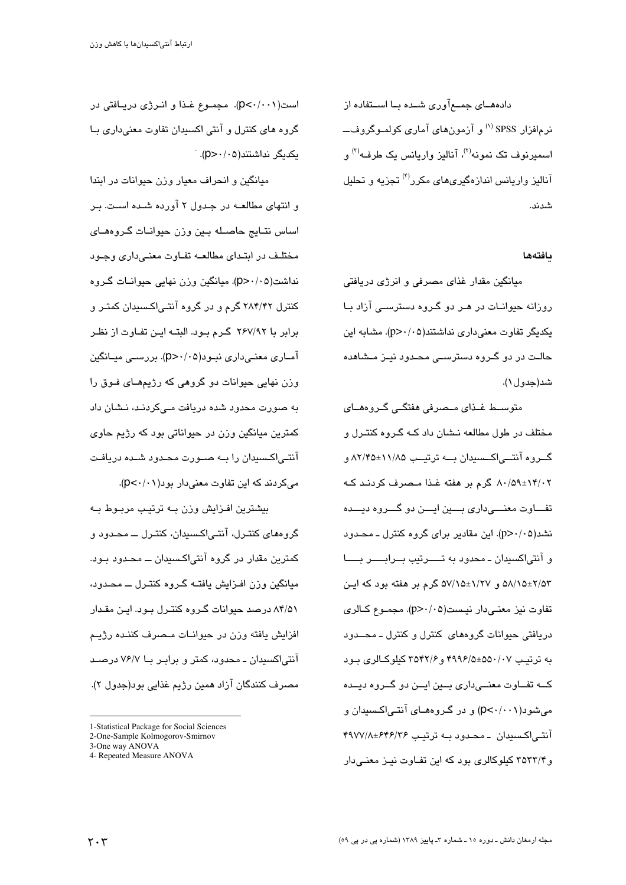دادههــای جمــع آوری شــده بــا اســتفاده از نر مافزار SPSS <sup>(۱)</sup> و آزمونهای آماری کولمـوگروفـــ اسمبرنوف تک نمونه<sup>(۲)</sup>، آنالیز واریانس یک طرف<sup>ه(۳)</sup> و آنالیز واریانس اندازهگیری های مکرر<sup>(۴)</sup> تجزیه و تحلیل شدند.

#### بافتهها

میانگین مقدار غذای مصرفی و انرژی دریافتی روزانه حیوانــات در هــر دو گــروه دسترســی آزاد بــا یکدیگر تفاوت معنی داری نداشتند(p>۰/۰۵). مشابه این حالـت در دو گــروه دسترســی محــدود نیــز مــشاهده شد(جدول ۱).

متوســط غــذای مــصرفی هفتگــی گــروههــای مختلف در طول مطالعه نــشان داد کــه گــروه کنتــرل و گــروه آنتـــی|کـــسیدان بــــه ترتیـــب ۱۱/۸۵±۸۲/۴۵ و ۸۰/۵۹±۱۴/۰۲ گرم بر هفته غـذا مـصرف كردنـد كـه تفـــــاوت معنـــــىدارى بـــــين ايـــــن دو گـــــروه ديــــده نشد(p>۰/۰۵). این مقادیر برای گروه کنترل ـ محـدود و آنتي|کسيدان ــ محدود به تــــــرتيب بـــرابــــــر بــــــا ۵۸/۱۵±۲/۵۲ و ۱/۲۷±۵۷/۱۵ گرم بر هفته بود که ایـن تفاوت نیز معنی دار نیست(p>٠/٠۵). مجمـوع کـالری دریافتی حیوانات گروههای کنترل و کنترل ـ محــدود به ترتیب ۴۹۹۶/۵±۵۵۰/۰۷ و۲۵۴۲/۶ کیلوکـالری بـود کــه تفــاوت معنــیداری بــین ایــن دو گــروه دیــده می شود(p<۰/۰۰۱) و در گـروههـای آنتـی|کـسیدان و آنتے اکسیدان ۔محدود بــه ترتیب ۴۹۷۷/۸±۶۴۶/۳۶ و۳۵۳۳/۴ کیلوکالری بود که این تفـاوت نیـز معنـیدار

است(p<۰/۰۰۱). مجمـوع غـذا و انـرژى دريـافتى در گروه های کنترل و آنتی اکسیدان تفاوت معنیداری بـا یکدیگر نداشتند(۵۰/۰۵).

مبانگین و انحراف معبار وزن حبوانات در ابتدا و انتهای مطالعــه در جـدول ۲ آورده شــده اسـت. بـر اساس نتايج حاصله بين وزن حيوانات گروههاى مختلـف در ابتـدای مطالعـه تفـاوت معنـی داری وجـود نداشت(۵-/۰۰p). میانگین وزن نهایی حیوانــات گـروه کنترل ۲۸۴/۴۲ گرم و در گروه آنتـی|کـسیدان کمتـر و برابر با ۲۶۷/۹۲ گـرم بـود. البتـه ايـن تفـاوت از نظـر آمــاري معنــي،داري نبــود(۵-/۰۱p). بررســي ميــانگين وزن نهایی حیوانات دو گروهی که رژیمهـای فـوق را به صورت محدود شده دریافت مـیکردنـد، نـشان داد کمترين ميانگين وزن در حيواناتي بود که رژيم حاوي آنتـی|کـسیدان را بــه صــورت محـدود شــده دریافـت میکردند که این تفاوت معنیدار بود(۶۰/۰۱).

بیشترین افـزایش وزن بـه ترتیـب مربـوط بـه گروههای کنتـرل، آنتـی|کـسیدان، کنتـرل ـــ محـدود و کمترین مقدار در گروه آنتی|کسیدان ـــ محـدود بــود. میانگین وزن افـزایش یافتــه گـروه کنتـرل ـــ مـحـدود، ۸۴/۵۱ درصد حیوانات گـروه کنتـرل بـود. ایـن مقـدار افزايش يافته وزن در حيوانــات مــصرف كننــده رژيــم آنتی|کسیدان ــ محدود، کمتر و برابـر بــا ۷۶/۷ درصــد مصرف کنندگان آزاد همین رژیم غذایی بود(جدول ۲).

4- Repeated Measure ANOVA

<sup>1-</sup>Statistical Package for Social Sciences

<sup>2-</sup>One-Sample Kolmogorov-Smirnov

<sup>3-</sup>One way ANOVA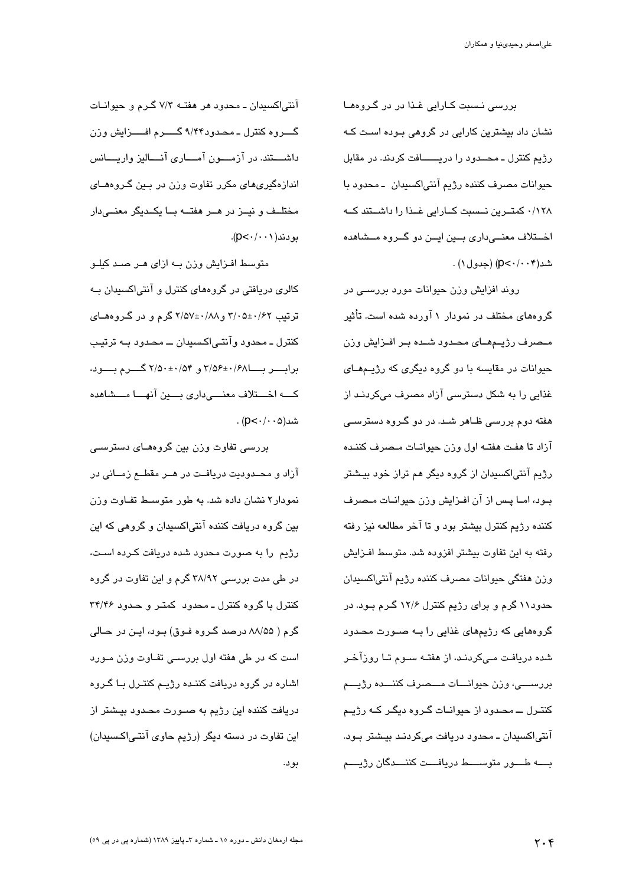بررسی نـسبت کـارایی غـذا در در گـروههـا نشان داد بیشترین کارایی در گروهی بـوده اسـت کـه رژیم کنترل ـ محــدود را دریـــــافت کردند. در مقابل حيوانات مصرف كننده رژيم آنتي|كسيدان ـ محدود با ۰/۱۲۸ کمتــرین نــسبت کــارایی غــذا را داشــتند کــه اختلاف معنے داری بین اسن دو گیروہ میشاهده  $( \wedge )$ شد(۶۰٬۰۴) (جدول ۱)

روند افزایش وزن حیوانات مورد بررســی در گروههای مختلف در نمودار ۱ آورده شده است. تأثیر مـصرف رژيـمهـاى محـدود شـده بـر افـزايش وزن حیوانات در مقایسه با دو گروه دیگری که رژیــمهــای غذائی را به شکل دسترسی آزاد مصرف میکردنـد از هفته دوم بررسی ظـاهر شـد. در دو گـروه دسترسـی آزاد تا هفت هفتــه اول وزن حيوانــات مـصرف كننـده رژیم آنتیاکسیدان از گروه دیگر هم تراز خود بیـشتر بود، امــا يـس از آن افـزايش وزن حيوانــات مـصرف کننده رژیم کنترل بیشتر بود و تا آخر مطالعه نیز رفته رفته به این تفاوت بیشتر افزوده شد. متوسط افـزایش وزن هفتگي حيوانات مصرف كننده رژيم آنتياكسيدان حدود ۱۱ گرم و برای رژیم کنترل ۱۲/۶ گـرم بـود. در گروههایی که رژیمهای غذایی را بـه صــورت محــدود شده دریافت مـیکردنـد، از هفتـه سـوم تـا روزآخـر بررســـي، وزن حيوانـــات مـــصرف كننـــده رژيـــم کنتـرل ـــ محـدود از حیوانــات گـروه دیگـر کــه رژیــم آنتي/کسيدان ــ محدود دريافت ميکردنـد بيـشتر بــود. بـــه طـــور متوســــط دريافـــت كننـــدگان رژيــــم

آنتي|کسیدان ــ محدود هر هفتــه ۷/۳ گــرم و حیوانــات گــــروه کنترل ــ محــدود۹/۴۴ گـــــــرم افـــــــزايش وزن داشتند. در آزمیون آمیاری آنسالیز واریسانس اندازهگیریهای مکرر تفاوت وزن در بین گروههای مختلــف و نيــز در هــر هفتــه بــا يكــديگر معنــىدار  $(D<\cdot/\cdot\cdot)$ ىو دند

متوسط افزایش وزن به ازای هـر صـد کیلـو کالری دریافتی در گروههای کنترل و آنتیاکسیدان بـه ترتیب ۳/۰۵±۰/۲ و ۲/۵۷±۰/۵۷ گرم و در گـروههـای کنترل ــ محدود وآنتــی|کـسیدان ـــ محـدود بــه ترتیـب كسه اخستلاف معنسى دارى بسين آنهسا مسشاهده  $(D<\cdot/\cdot \cdot \Delta)$ شد

بررسی تفاوت وزن بین گروههـای دسترسـی آزاد و محــدودیت دریافــت در هــر مقطــع زمــانی در نمودار۲ نشان داده شد. به طور متوسط تفـاوت وزن بین گروه دریافت کننده آنتی!کسیدان و گروهی که این رژیم را به صورت محدود شده دریافت کـرده اسـت، در طی مدت بررسی ۳۸/۹۲ گرم و این تفاوت در گروه کنترل با گروه کنترل ـ محدود کمتـر و حـدود ۳۴/۴۶ گرم ( ۸۸/۵۵ درصد گـروه فـوق) بـود، ايـن در حـالى است که در طی هفته اول بررسـی تفـاوت وزن مـورد اشاره در گروه دریافت کننـده رژیـم کنتـرل بـا گـروه دریافت کننده این رژیم به صـورت محـدود بیـشتر از این تفاوت در دسته دیگر (رژیم حاوی آنتے اکسپدان) بود.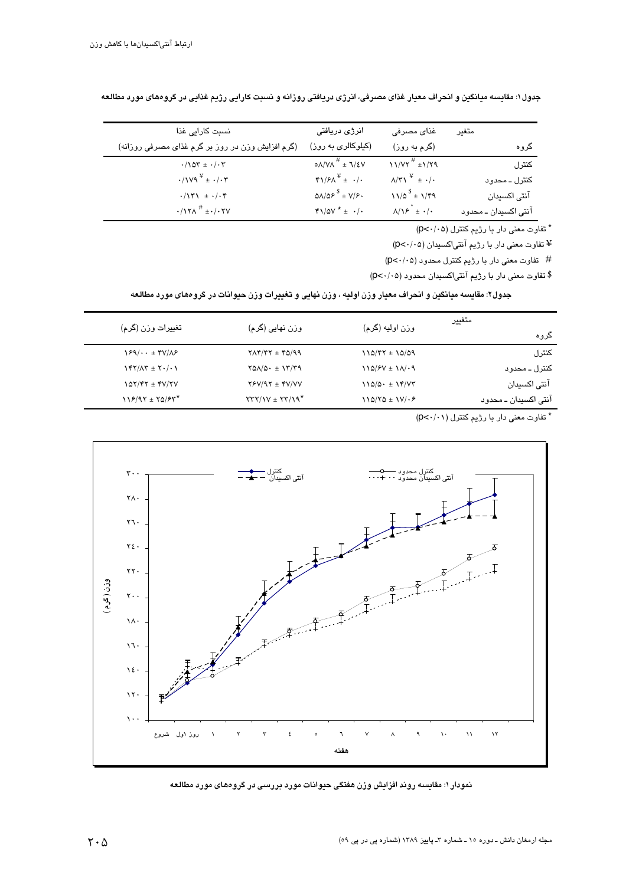| نسبت کارایی غذا                                                            | انرژی دریافتی                                                | غذاي مصرفي                                                                   | متغير                |
|----------------------------------------------------------------------------|--------------------------------------------------------------|------------------------------------------------------------------------------|----------------------|
| (گرم افزایش وزن در روز بر گرم غذای مصرفی روزانه)                           | (کیلوکالری به روز)                                           | (گرم به روز)                                                                 | گروه                 |
| $\cdot/\backslash\, \mathsf{O}\mathsf{Y}\, \pm\, \cdot/\cdot\,\mathsf{Y}$  | $0\Lambda/V\Lambda$ <sup>#</sup> ± $V/V$                     | $11/VT^{\#} \pm 1/T9$                                                        | كنترل                |
| $\cdot$ /1V9 <sup><math>\frac{y}{2}</math></sup> $\pm$ $\cdot$ / $\cdot$ ۳ | $\mathbf{Y}/\mathbf{Y}\Lambda^{\mathcal{F}}$ + $\cdot/\cdot$ | $\Lambda/\Upsilon \left( \begin{array}{cc} \Psi & \pm \end{array} \right)$ . | کنترل ـ محدود        |
| $\cdot/\Upsilon\Upsilon$ $\pm$ $\cdot/\cdot\Upsilon$                       | $\Delta \Lambda/\Delta \mathcal{F}^{\$} \pm V/\mathcal{F}$ . | $11/0^5 \pm 1/19$                                                            | آنتى اكسيدان         |
| $\cdot$ /17 $\wedge$ <sup>#</sup> ± $\cdot$ / $\cdot$ YV                   | $\sqrt{Y}/\Delta V^* = \cdot / \cdot$                        | $\lambda/\lambda^* + \cdot/\cdot$                                            | آنتی اکسیدان ـ محدود |

جدول ۱: مقايسه ميانگين و انحراف معيار غذاي مصرفي، انرژي دريافتي روزانه و نسبت كارايي رژيم غذايي در گروههاي مورد مطالعه

\* تفاوت معنى دار با رژيم كنترل (p<٠/٠٥)

 $\operatorname{\mathfrak{p}}$ - تفاوت معنی دار با رژیم آنتی|کسیدان (۵ $\cdot$ /۰)

 $(P<\cdot/\cdot 0)$  تفاوت معنی دار با رژیم کنترل محدود  $#$ 

\$ تفاوت معنی دار با رژیم آنتی|کسیدان محدود (p<۰/۰۵)

#### جدول۲: مقايسه ميانگين و انحراف معيار وزن اوليه ، وزن نهايي و تغييرات وزن حيوانات در گروههاي مورد مطالعه

|                           |                                       |                         | متغيير               |
|---------------------------|---------------------------------------|-------------------------|----------------------|
|                           | وزن نھاپی (گرم)<br>تغييرات وزن (گرم)  | وزن اوليه (گرم)         | كروه                 |
| $Y$ $(9) \cdot \cdot + Y$ | $Y\Lambda f/fY \pm f\Delta/99$        | $110/FY = 10/09$        | كنترل                |
| $YY/XY + Y.$              | $Y\Delta\Lambda/\Delta$ . $\pm$ 15/79 | $110/FV \pm 1/\sqrt{9}$ | کنترل ـ محدود        |
| $10Y/FY + fV/Y$           | $YFV/9Y + YV/VV$                      | $110/0.1 \pm 14/0$      | انتی اکسیدان         |
| $118/97 \pm 70/97$ *      | $\tau\tau\tau/\nu$ + $\tau\tau/\nu^*$ | $110/70 \pm 10/15$      | آنتي اکسيدان ـ محدود |

\* تفاوت معنى دار با رژيم كنترل (p<./.)



نمودار ۱: مقایسه روند افزایش وزن هفتگی حیوانات مورد بررسی در گروههای مورد مطالعه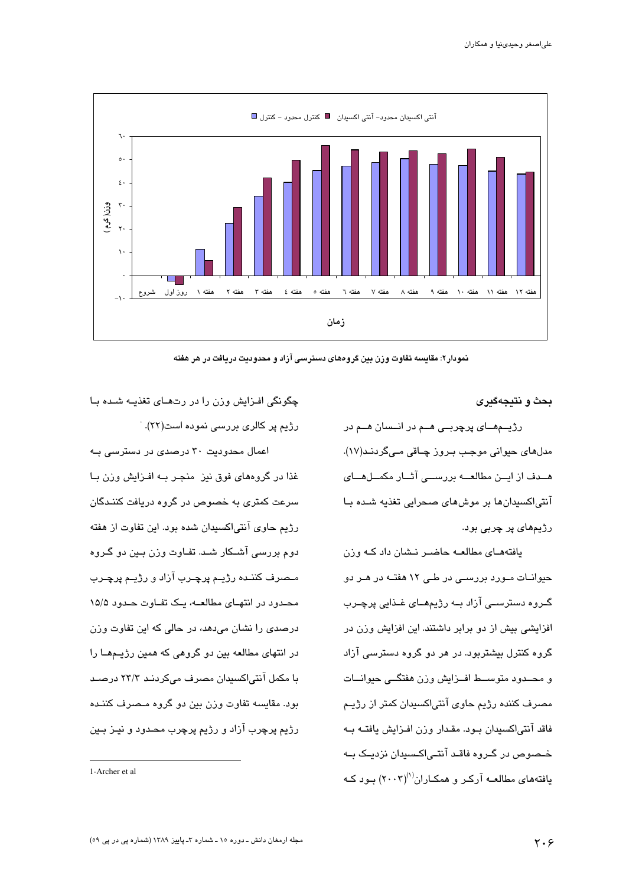

نمودار۲: مقایسه تفاوت وزن بین گروههای دسترسی آزاد و محدودیت دریافت در هر هفته

بحث و نتيجهگيري

رژیــمهــای پرچربــی هــم در انــسان هــم در مدلھای حیوانی موجب بـروز چـاقی مـیگردنـد(١٧). هــدف از ایــن مطالعـــه بررســـی آشــار مکمــلهـــای آنتي اکسيدان ها بر موش هاي صحرابي تغذيه شده با رژیمهای پر چربی بود.

بافتههبای مطالعیه حاضیر نیشان داد کیه وزن حیوانــات مــورد بررســی در طــی ۱۲ هفتــه در هــر دو گــروه دسترســی آزاد بــه رژیمهــای غــذایی پرچــرب افزایشی بیش از دو برابر داشتند. این افزایش وزن در گروه کنترل بیشتربود. در هر دو گروه دسترسی آزاد و محدود متوسـط افـزايش وزن هفتگــي حيوانــات مصرف کننده رژیم حاوی آنتیاکسیدان کمتر از رژیـم فاقد آنتی|کسیدان بـود. مقـدار وزن افـزایش یافتــه بــه خـصوص در گـروه فاقـد آنتـی|کـسیدان نزدیـک بــه یافتههای مطالعــه آرکـر و همکــاران<sup>(۱)</sup>(۲۰۰۳) بــود کــه

چگونگی افـزایش وزن را در رتهـای تغذیـه شـده یـا رژیم پر کالری بررسی نموده است(۲۲). ا

اعمال محدودیت ۳۰ درصدی در دسترسی به غذا در گروههای فوق نیز منجر به افـزایش وزن بـا سرعت کمتری به خصوص در گروه دریافت کننـدگان رژیم حاوی آنتی|کسیدان شده بود. این تفاوت از هفته دوم بررسی آشـکار شـد. تفـاوت وزن بـین دو گـروه مـصرف کننـده رژيـم پرچـرب آزاد و رژيـم پرچـرب محدود در انتهای مطالعه، یک تفاوت حدود ۱۵/۵ درصدی را نشان میدهد، در حالی که این تفاوت وزن در انتهای مطالعه بین دو گروهی که همین رژیـمهــا را یا مکمل آنتی/کسیدان مصرف میکردند ۲۳/۲ درصید بود. مقایسه تفاوت وزن بین دو گروه مـصرف کننـده رژيم پرچرب آزاد و رژيم پرچرب محـدود و نيـز بـين

<sup>1-</sup>Archer et al.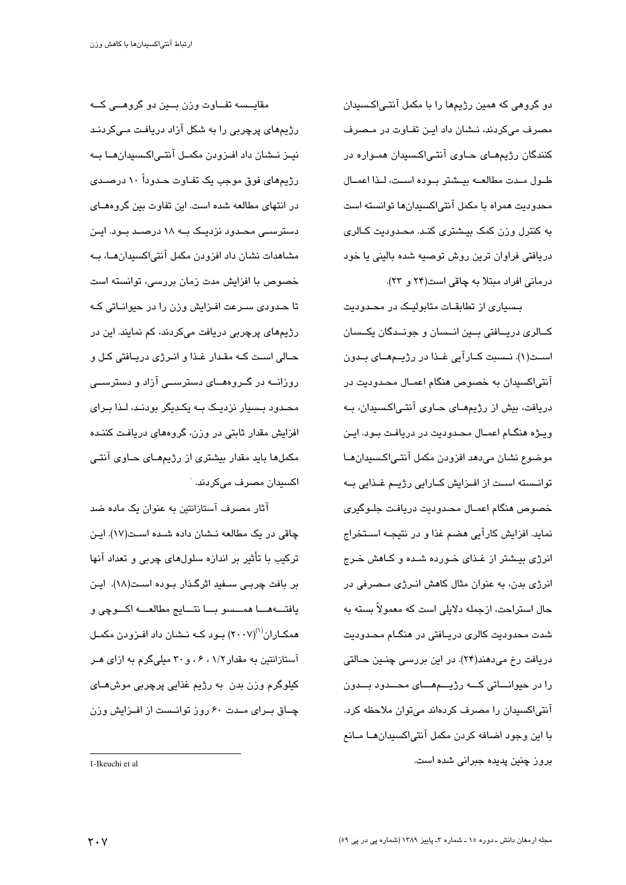دو گروهی که همین رژیمها را با مکمل آنتی|کسیدان مصرف میکردند، نشان داد این تفاوت در مصرف کنندگان رژیمهـای حـاوی آنتـی|کـسیدان همـواره در طول مدت مطالعه بيشتر بوده است، لـذا اعمـال محدوديت همراه با مكمل آنتى اكسيدانها توانسته است به کنترل وزن کمک بیشتری کنید. محبودیت کیالری دریافتی فراوان ترین روش توصیه شده بالینی یا خود درمانی افراد مبتلا به چاقی است(۲۴ و ۲۳).

بسیاری از تطابقات متابولیک در محدودیت كــالري دريــافتى بــين انــسان و جونــدگان يكــسان اســت(۱). نــسبت كــارآيى غــذا در رژيــمهــاى بــدون آنتیاکسیدان به خصوص هنگام اعمـال محـدودیت در دریافت، بیش از رژیمهـای حـاوی آنتـی|کـسیدان، بــه ويـژه هنگـام اعمــال محـدوديت در دريافـت بـود. ايـن موضوع نشان مىدهد افزودن مكمل آنتـىاكـسـيدانهــا توانسته است از افـزایش کـارایی رژیـم غـذایی بـه خصوص هنگام اعمـال محـدوديت دريافت جلـوگيرى نماید. افزایش کارآیی هضم غذا و در نتیجــه اســتخراج انرژی بیشتر از غـذای خـورده شـده و کـاهش خـرج انرژی بدن، به عنوان مثال کاهش انـرژی مـصرفی در حال استراحت، ازجمله دلایلی است که معمولاً بسته به شدت محدودیت کالری دریـافتی در هنگـام محـدودیت دریافت رخ میدهند(۲۴). در این بررسی چنـین حـالتی را در حیوانساتی کسه رژیسمهسای محسدود بسدون آنتی|کسیدان را مصرف کردهاند میٍتوان ملاحظه کرد. با اين وجود اضافه كردن مكمل آنتي|كسيدانهـا مـانع بروز چنین پدیده جبرانی شده است.

مقائسته تفتاوت وزن بسین دو گروهیے کته رژیمهای پرچربی را به شکل آزاد دریافت مـیکردنـد نيـز نــشان داد افــزودن مكمــل آنتــىاكـسيدان هــا بــه رژیمهای فوق موجب یک تفـاوت حـدوداً ۱۰ درصـدی در انتهای مطالعه شده است. این تفاوت بین گروههـای دسترســی محــدود نزدیــک بــه ۱۸ درصــد بــود. ایــن مشاهدات نشان داد افزودن مکمل آنتے،اکسیدانهــا، پــه خصوص با افزایش مدت زمان بررسی، توانسته است تا حـدودی سـرعت افـزایش وزن را در حیوانـاتی کـه رژیمهای پرچربی دریافت میکردند، کم نمایند. این در حـالی اسـت کـه مقـدار غـذا و انـرژی دریـافتی کـل و روزانــه در گــروههــای دسترســی آزاد و دسترســی محدود بسیار نزدیک بـه یکدیگر بودنـد، لـذا بـرای افزایش مقدار ثابتی در وزن، گروههای دریافت کننـده مکملها باید مقدار بیشتری از رژیمهـای حــاوی آنتـی اکسیدان مصرف میکردند.

آثار مصرف آستازانتین به عنوان یک ماده ضد چاقی در یک مطالعه نـشان داده شـده اسـت(١٧). ایـن ترکیب با تأثیر بر اندازه سلولهای چربی و تعداد آنها بر بافت چربـی ســفید اثرگــذار بــوده اســت(١٨). ایــن يافتسه هسا همسسو با نتسايج مطالعسه اكسوچى و همکــاران'``(۲۰۰۷) بــود کــه نــشان داد افــزودن مکمــل آستازانتین به مقدار ۱/۲ ، ۶ ، و ۳۰ میلیگرم به ازای هـر کيلوگرم وزن بدن به رژيم غذايي پرچربي موشهـاي چــاق بــرای مــدت ۶۰ روز توانــست از افــزایش وزن

1-Ikeuchi et al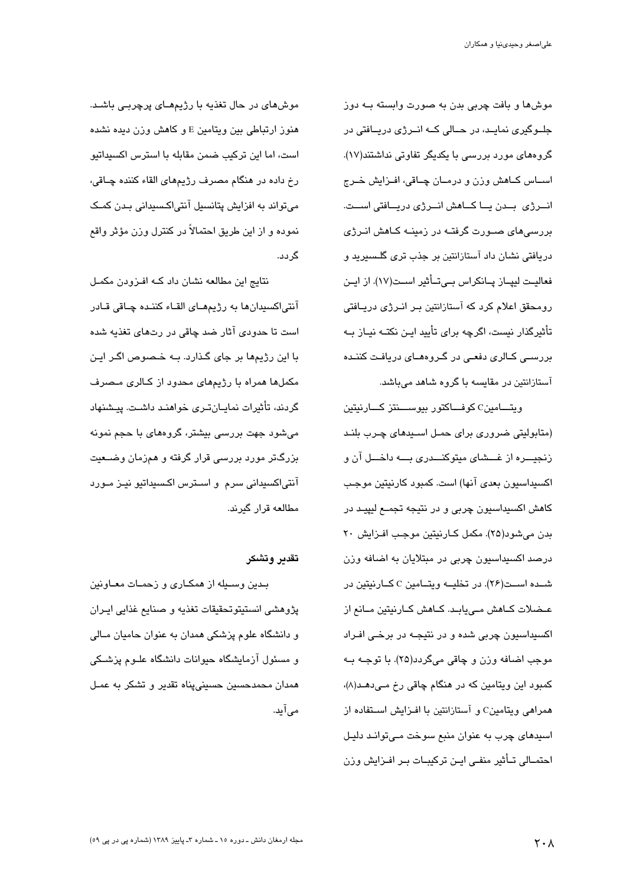موشها و بافت چربی بدن به صورت وابسته بـه دوز جلــوگیری نمایــد، در حــالی کــه انــرژی دریــافتی در گروههای مورد بررسی با یکدیگر تفاوتی نداشتند(۱۷). اســاس كــاهش وزن و درمــان چــاقى، افــزاىش خــرج انسرژی بسدن پساکساهش انسرژی دریسافتی اسست. بررسے مای صبورت گرفتیه در زمینیه کیاهش انبرژی دریافتی نشان داد آستازانتین بر جذب تری گلـسیرید و فعالیـت لیپــاز پــانکراس بــیتــأثیر اســت(١٧). از ایــن رومحقق اعلام کرد که آستازانتین بـر انــرژی دریــافتی تأثیرگذار نیست، اگرچه برای تأیید ایـن نکتــه نیــاز بــه بررسـی کـالری دفعـی در گـروههـای دریافـت کننـده آستازانتین در مقایسه با گروه شاهد میباشد.

ويتسامين C كوفساكتور بيوسسنتز كسارنيتين (متابولیتی ضروری برای حمل اسپدهای چـرب بلنـد زنجيـــره از غـــشاي ميتوكنـــدري بــــه داخـــل آن و اکسیداسیون بعدی آنها) است. کمبود کارنیتین موجب کاهش اکسیداسیون چربی و در نتیجه تجمـع لیپیـد در بدن میشود(۲۵). مکمل کبارنیتین موجب افزایش ۲۰ درصد اکسیداسیون چربی در مبتلایان به اضافه وزن شــده اســت(۲۶). در تخلیــه ویتــامین C کــارنیتین در عـضلات كـاهش مـىيابـد. كـاهش كـارنيتين مـانع از اکسیداسیون چربی شده و در نتیجـه در برخـی افـراد موجب اضافه وزن و چاقی میگردد(۲۵). با توجـه بـه کمبود این ویتامین که در هنگام چاقی رخ مـیدهـد(۸)، همراهی ویتامینC و آستازانتین با افـزایش اسـتفاده از اسیدهای چرب به عنوان منبع سوخت می تواند دلیل احتمـالی تـأثیر منفـی ایـن ترکیبـات بـر افـزایش وزن

موش،ای در حال تغذیه با رژیمهـای پرچربـی باشـد. هنوز ارتباطی بین ویتامین E و کاهش وزن دیده نشده است، اما اين تركيب ضمن مقابله با استرس اكسيداتيو رخ داده در هنگام مصرف رژیمهای القاء کننده چیاقی، می تواند به افزایش پتانسیل آنتی اکسیدانی بـدن کمـک نموده و از این طریق احتمالاً در کنترل وزن مؤثر واقع گر دد.

نتایج این مطالعه نشان داد کـه افـزودن مکمـل آنتیاکسیدانها به رژیمهــای القــاء کننــده چــاقی قــادر است تا حدودی آثار ضد چاقی در رتهای تغذیه شده با این رژیمها بر جای گذارد. بـه خـصوص اگـر ایـن مکملها همراه با رژیمهای محدود از کـالری مـصرف گردند، تأثیرات نمایـانتـری خواهنـد داشـت. پیـشنهاد میشود جهت بررسی بیشتر، گروههای با حجم نمونه بزرگتر مورد بررسی قرار گرفته و همزمان وضــعیت آنتی|کسیدانی سرم و اسـترس اکـسیداتیو نیـز مـورد مطالعه قرار گیرند.

#### تقدبر وتشكر

بدین وسـیله از همکـاری و زحمـات معـاونین پژوهشي انستيتوتحقيقات تغذيه و صنايع غذايي ايـران و دانشگاه علوم پزشکی همدان به عنوان حامیان مــالی و مسئول آزمایشگاه حیوانات دانشگاه علــوم پزشــکی همدان محمدحسین حسینیپناه تقدیر و تشکر به عمـل می آید.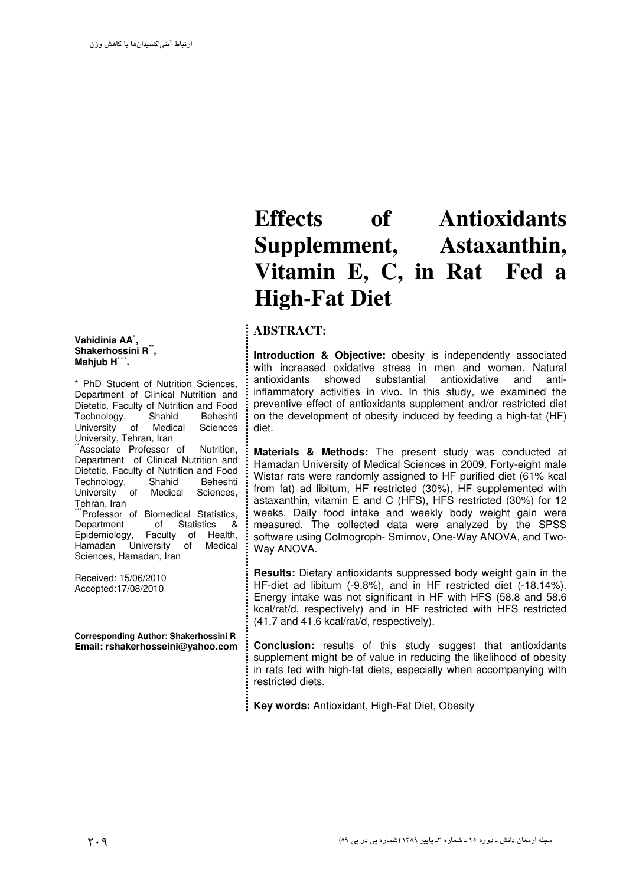#### **Vahidinia AA**\* **, Shakerhossini R\*\* , Mahjub H**\*\*\* **.**

\* PhD Student of Nutrition Sciences, Department of Clinical Nutrition and Dietetic, Faculty of Nutrition and Food Technology, Shahid Beheshti<br>University of Medical Sciences of Medical Sciences University, Tehran, Iran \*Associate Professor of Nutrition. Department of Clinical Nutrition and Dietetic, Faculty of Nutrition and Food Technology, Shahid Beheshti<br>University of Medical Sciences, University of Medical Tehran, Iran \*\*\*\*Professor of Biomedical Statistics,<br>Department of Statistics & Statistics & Epidemiology, Faculty of Health,<br>Hamadan University of Medical Hamadan University of Sciences, Hamadan, Iran

Received: 15/06/2010 Accepted:17/08/2010

**Corresponding Author: Shakerhossini R Email: rshakerhosseini@yahoo.com** 

## **Effects of Antioxidants Supplemment, Astaxanthin, Vitamin E, C, in Rat Fed a High-Fat Diet**

### **ABSTRACT:**

**Introduction & Objective:** obesity is independently associated with increased oxidative stress in men and women. Natural antioxidants showed substantial antioxidative and antiinflammatory activities in vivo. In this study, we examined the preventive effect of antioxidants supplement and/or restricted diet on the development of obesity induced by feeding a high-fat (HF) diet.

**Materials & Methods:** The present study was conducted at Hamadan University of Medical Sciences in 2009. Forty-eight male Wistar rats were randomly assigned to HF purified diet (61% kcal from fat) ad libitum, HF restricted (30%), HF supplemented with astaxanthin, vitamin E and C (HFS), HFS restricted (30%) for 12 weeks. Daily food intake and weekly body weight gain were measured. The collected data were analyzed by the SPSS software using Colmogroph- Smirnov, One-Way ANOVA, and Two-Way ANOVA.

**Results:** Dietary antioxidants suppressed body weight gain in the HF-diet ad libitum (-9.8%), and in HF restricted diet (-18.14%). Energy intake was not significant in HF with HFS (58.8 and 58.6 kcal/rat/d, respectively) and in HF restricted with HFS restricted (41.7 and 41.6 kcal/rat/d, respectively).

**Conclusion:** results of this study suggest that antioxidants supplement might be of value in reducing the likelihood of obesity in rats fed with high-fat diets, especially when accompanying with restricted diets.

**Key words:** Antioxidant, High-Fat Diet, Obesity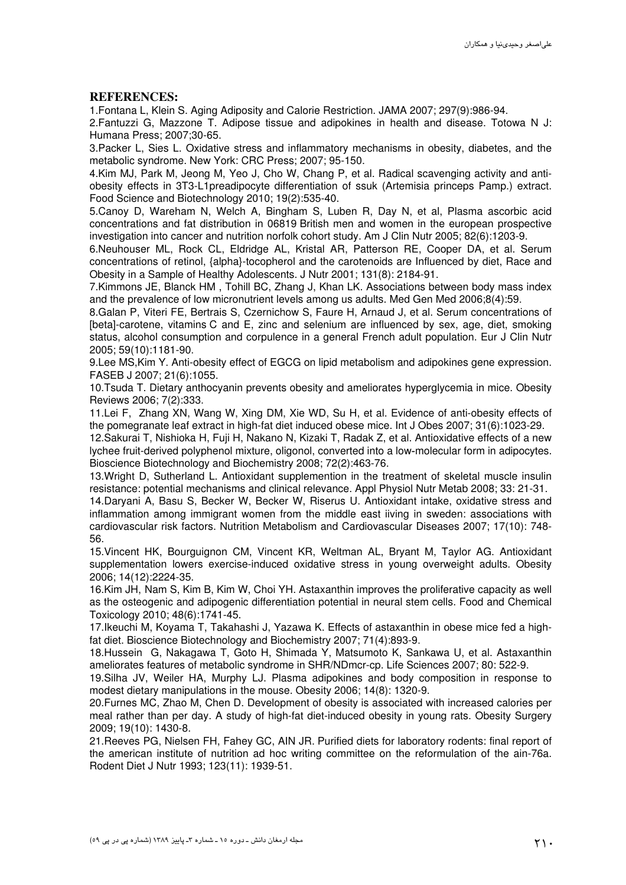#### **REFERENCES:**

1.Fontana L, Klein S. Aging Adiposity and Calorie Restriction. JAMA 2007; 297(9):986-94.

2.Fantuzzi G, Mazzone T. Adipose tissue and adipokines in health and disease. Totowa N J: Humana Press; 2007;30-65.

3.Packer L, Sies L. Oxidative stress and inflammatory mechanisms in obesity, diabetes, and the metabolic syndrome. New York: CRC Press; 2007; 95-150.

4.Kim MJ, Park M, Jeong M, Yeo J, Cho W, Chang P, et al. Radical scavenging activity and antiobesity effects in 3T3-L1preadipocyte differentiation of ssuk (Artemisia princeps Pamp.) extract. Food Science and Biotechnology 2010; 19(2):535-40.

5.Canoy D, Wareham N, Welch A, Bingham S, Luben R, Day N, et al, Plasma ascorbic acid concentrations and fat distribution in 06819 British men and women in the european prospective investigation into cancer and nutrition norfolk cohort study. Am J Clin Nutr 2005; 82(6):1203-9.

6.Neuhouser ML, Rock CL, Eldridge AL, Kristal AR, Patterson RE, Cooper DA, et al. Serum concentrations of retinol, {alpha}-tocopherol and the carotenoids are Influenced by diet, Race and Obesity in a Sample of Healthy Adolescents. J Nutr 2001; 131(8): 2184-91.

7.Kimmons JE, Blanck HM , Tohill BC, Zhang J, Khan LK. Associations between body mass index and the prevalence of low micronutrient levels among us adults. Med Gen Med 2006;8(4):59.

8.Galan P, Viteri FE, Bertrais S, Czernichow S, Faure H, Arnaud J, et al. Serum concentrations of [beta]-carotene, vitamins C and E, zinc and selenium are influenced by sex, age, diet, smoking status, alcohol consumption and corpulence in a general French adult population. Eur J Clin Nutr 2005; 59(10):1181-90.

9.Lee MS,Kim Y. Anti-obesity effect of EGCG on lipid metabolism and adipokines gene expression. FASEB J 2007; 21(6):1055.

10.Tsuda T. Dietary anthocyanin prevents obesity and ameliorates hyperglycemia in mice. Obesity Reviews 2006; 7(2):333.

11.Lei F, Zhang XN, Wang W, Xing DM, Xie WD, Su H, et al. Evidence of anti-obesity effects of the pomegranate leaf extract in high-fat diet induced obese mice. Int J Obes 2007; 31(6):1023-29.

12.Sakurai T, Nishioka H, Fuji H, Nakano N, Kizaki T, Radak Z, et al. Antioxidative effects of a new lychee fruit-derived polyphenol mixture, oligonol, converted into a low-molecular form in adipocytes. Bioscience Biotechnology and Biochemistry 2008; 72(2):463-76.

13.Wright D, Sutherland L. Antioxidant supplemention in the treatment of skeletal muscle insulin resistance: potential mechanisms and clinical relevance. Appl Physiol Nutr Metab 2008; 33: 21-31.

14.Daryani A, Basu S, Becker W, Becker W, Riserus U. Antioxidant intake, oxidative stress and inflammation among immigrant women from the middle east iiving in sweden: associations with cardiovascular risk factors. Nutrition Metabolism and Cardiovascular Diseases 2007; 17(10): 748- 56.

15.Vincent HK, Bourguignon CM, Vincent KR, Weltman AL, Bryant M, Taylor AG. Antioxidant supplementation lowers exercise-induced oxidative stress in young overweight adults. Obesity 2006; 14(12):2224-35.

16.Kim JH, Nam S, Kim B, Kim W, Choi YH. Astaxanthin improves the proliferative capacity as well as the osteogenic and adipogenic differentiation potential in neural stem cells. Food and Chemical Toxicology 2010; 48(6):1741-45.

17.Ikeuchi M, Koyama T, Takahashi J, Yazawa K. Effects of astaxanthin in obese mice fed a highfat diet. Bioscience Biotechnology and Biochemistry 2007; 71(4):893-9.

18.Hussein G, Nakagawa T, Goto H, Shimada Y, Matsumoto K, Sankawa U, et al. Astaxanthin ameliorates features of metabolic syndrome in SHR/NDmcr-cp. Life Sciences 2007; 80: 522-9.

19.Silha JV, Weiler HA, Murphy LJ. Plasma adipokines and body composition in response to modest dietary manipulations in the mouse. Obesity 2006; 14(8): 1320-9.

20.Furnes MC, Zhao M, Chen D. Development of obesity is associated with increased calories per meal rather than per day. A study of high-fat diet-induced obesity in young rats. Obesity Surgery 2009; 19(10): 1430-8.

21.Reeves PG, Nielsen FH, Fahey GC, AIN JR. Purified diets for laboratory rodents: final report of the american institute of nutrition ad hoc writing committee on the reformulation of the ain-76a. Rodent Diet J Nutr 1993; 123(11): 1939-51.